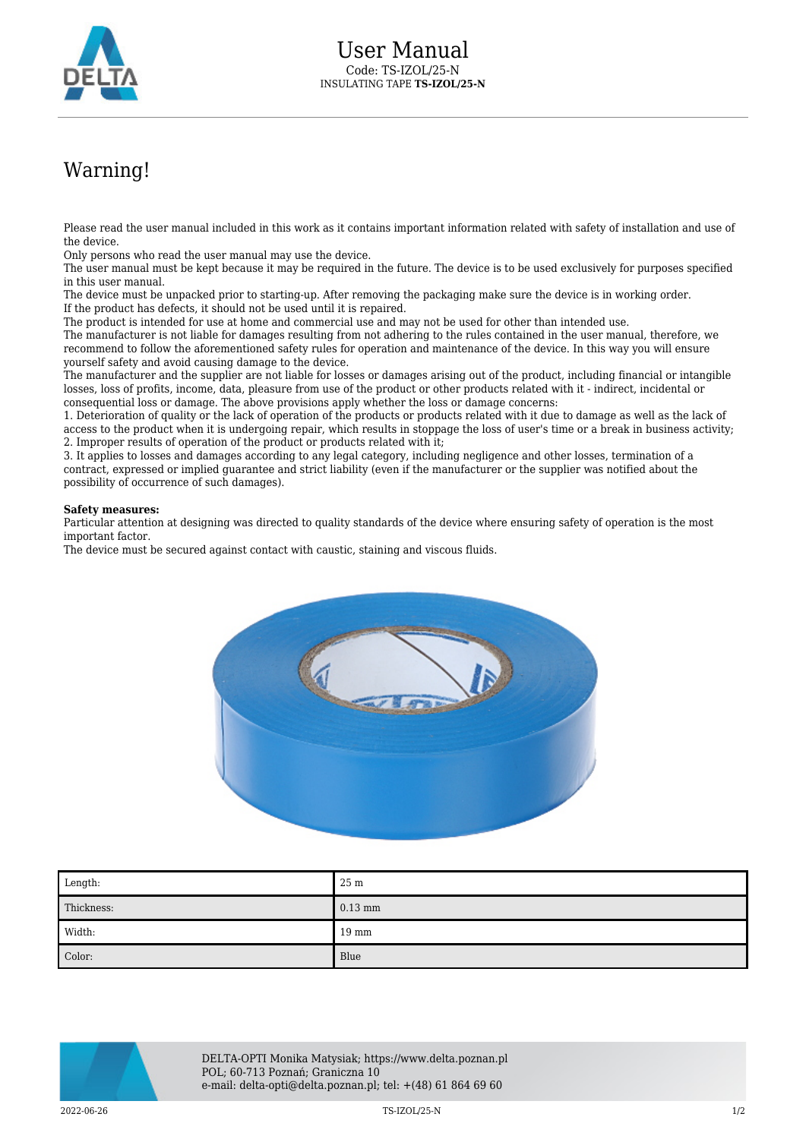

## Warning!

Please read the user manual included in this work as it contains important information related with safety of installation and use of the device.

Only persons who read the user manual may use the device.

The user manual must be kept because it may be required in the future. The device is to be used exclusively for purposes specified in this user manual.

The device must be unpacked prior to starting-up. After removing the packaging make sure the device is in working order. If the product has defects, it should not be used until it is repaired.

The product is intended for use at home and commercial use and may not be used for other than intended use.

The manufacturer is not liable for damages resulting from not adhering to the rules contained in the user manual, therefore, we recommend to follow the aforementioned safety rules for operation and maintenance of the device. In this way you will ensure yourself safety and avoid causing damage to the device.

The manufacturer and the supplier are not liable for losses or damages arising out of the product, including financial or intangible losses, loss of profits, income, data, pleasure from use of the product or other products related with it - indirect, incidental or consequential loss or damage. The above provisions apply whether the loss or damage concerns:

1. Deterioration of quality or the lack of operation of the products or products related with it due to damage as well as the lack of access to the product when it is undergoing repair, which results in stoppage the loss of user's time or a break in business activity; 2. Improper results of operation of the product or products related with it;

3. It applies to losses and damages according to any legal category, including negligence and other losses, termination of a contract, expressed or implied guarantee and strict liability (even if the manufacturer or the supplier was notified about the possibility of occurrence of such damages).

## **Safety measures:**

Particular attention at designing was directed to quality standards of the device where ensuring safety of operation is the most important factor.

The device must be secured against contact with caustic, staining and viscous fluids.



| Length:    | 25 <sub>m</sub> |
|------------|-----------------|
| Thickness: | $0.13$ mm       |
| Width:     | $19 \text{ mm}$ |
| Color:     | Blue            |



DELTA-OPTI Monika Matysiak; https://www.delta.poznan.pl POL; 60-713 Poznań; Graniczna 10 e-mail: delta-opti@delta.poznan.pl; tel: +(48) 61 864 69 60